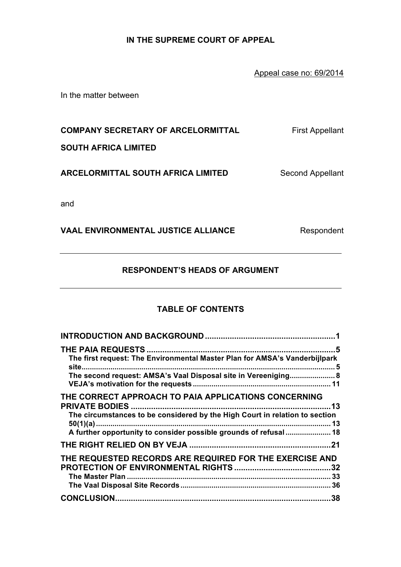# **IN THE SUPREME COURT OF APPEAL**

Appeal case no: 69/2014

In the matter between

**COMPANY SECRETARY OF ARCELORMITTAL** First Appellant

**SOUTH AFRICA LIMITED**

**ARCELORMITTAL SOUTH AFRICA LIMITED** Second Appellant

and

VAAL ENVIRONMENTAL JUSTICE ALLIANCE Respondent

# **RESPONDENT'S HEADS OF ARGUMENT**

# **TABLE OF CONTENTS**

| The first request: The Environmental Master Plan for AMSA's Vanderbijlpark<br>The second request: AMSA's Vaal Disposal site in Vereeniging 8                                                             |
|----------------------------------------------------------------------------------------------------------------------------------------------------------------------------------------------------------|
| THE CORRECT APPROACH TO PAIA APPLICATIONS CONCERNING<br>The circumstances to be considered by the High Court in relation to section<br>A further opportunity to consider possible grounds of refusal  18 |
|                                                                                                                                                                                                          |
| THE REQUESTED RECORDS ARE REQUIRED FOR THE EXERCISE AND                                                                                                                                                  |
|                                                                                                                                                                                                          |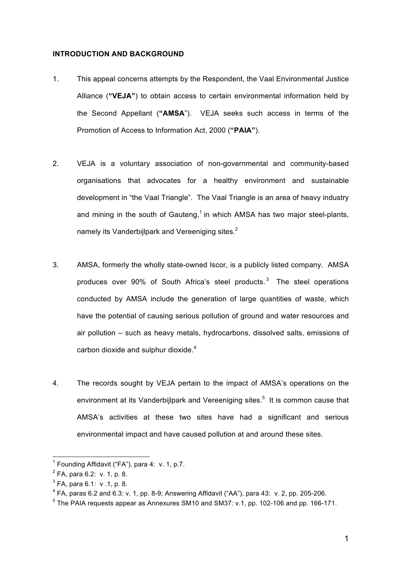#### **INTRODUCTION AND BACKGROUND**

- 1. This appeal concerns attempts by the Respondent, the Vaal Environmental Justice Alliance (**"VEJA"**) to obtain access to certain environmental information held by the Second Appellant (**"AMSA**"). VEJA seeks such access in terms of the Promotion of Access to Information Act, 2000 (**"PAIA"**).
- 2. VEJA is a voluntary association of non-governmental and community-based organisations that advocates for a healthy environment and sustainable development in "the Vaal Triangle". The Vaal Triangle is an area of heavy industry and mining in the south of Gauteng,<sup>1</sup> in which AMSA has two major steel-plants, namely its Vanderbijlpark and Vereeniging sites.<sup>2</sup>
- 3. AMSA, formerly the wholly state-owned Iscor, is a publicly listed company. AMSA produces over 90% of South Africa's steel products. $3$  The steel operations conducted by AMSA include the generation of large quantities of waste, which have the potential of causing serious pollution of ground and water resources and air pollution – such as heavy metals, hydrocarbons, dissolved salts, emissions of carbon dioxide and sulphur dioxide. $4$
- 4. The records sought by VEJA pertain to the impact of AMSA's operations on the environment at its Vanderbijlpark and Vereeniging sites.<sup>5</sup> It is common cause that AMSA's activities at these two sites have had a significant and serious environmental impact and have caused pollution at and around these sites.

 $\overline{\phantom{a}}$ 

 $<sup>1</sup>$  Founding Affidavit ("FA"), para 4: v. 1, p.7.</sup>

 $2$  FA, para 6.2: v. 1, p. 8.

 $3$  FA, para 6.1: v .1, p. 8.

 $4$  FA, paras 6.2 and 6.3: v. 1, pp. 8-9; Answering Affidavit ("AA"), para 43: v. 2, pp. 205-206.

<sup>&</sup>lt;sup>5</sup> The PAIA requests appear as Annexures SM10 and SM37: v.1, pp. 102-106 and pp. 166-171.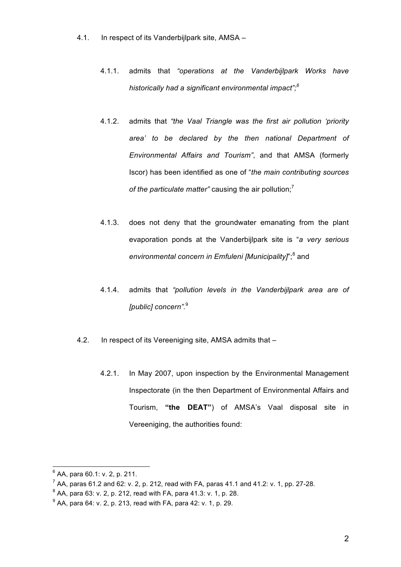- 4.1. In respect of its Vanderbijlpark site, AMSA
	- 4.1.1. admits that *"operations at the Vanderbijlpark Works have historically had a significant environmental impact";<sup>6</sup>*
	- 4.1.2. admits that *"the Vaal Triangle was the first air pollution 'priority area' to be declared by the then national Department of Environmental Affairs and Tourism"*, and that AMSA (formerly Iscor) has been identified as one of "*the main contributing sources*  of the particulate matter" causing the air pollution:<sup>7</sup>
	- 4.1.3. does not deny that the groundwater emanating from the plant evaporation ponds at the Vanderbijlpark site is "*a very serious*  environmental concern in Emfuleni [Municipality]<sup>";8</sup> and
	- 4.1.4. admits that *"pollution levels in the Vanderbijlpark area are of [public] concern".* 9
- 4.2. In respect of its Vereeniging site, AMSA admits that
	- 4.2.1. In May 2007, upon inspection by the Environmental Management Inspectorate (in the then Department of Environmental Affairs and Tourism, **"the DEAT"**) of AMSA's Vaal disposal site in Vereeniging, the authorities found:

 $^6$  AA, para 60.1: v. 2, p. 211.

 $7$  AA, paras 61.2 and 62: v. 2, p. 212, read with FA, paras 41.1 and 41.2: v. 1, pp. 27-28.

 $8^8$  AA, para 63: v. 2, p. 212, read with FA, para 41.3: v. 1, p. 28.

 $9$  AA, para 64: v. 2, p. 213, read with FA, para 42: v. 1, p. 29.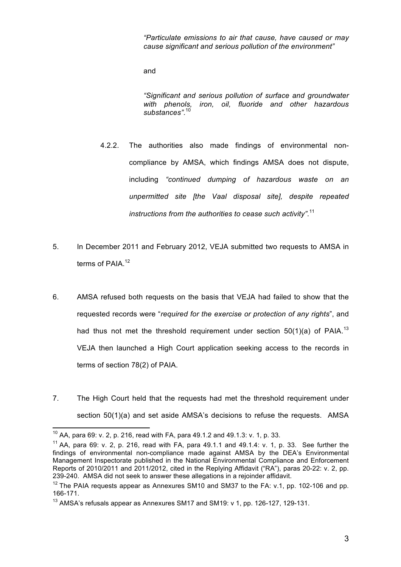*"Particulate emissions to air that cause, have caused or may cause significant and serious pollution of the environment"*

and

*"Significant and serious pollution of surface and groundwater with phenols, iron, oil, fluoride and other hazardous substances"*. 10

- 4.2.2. The authorities also made findings of environmental noncompliance by AMSA, which findings AMSA does not dispute, including *"continued dumping of hazardous waste on an unpermitted site [the Vaal disposal site], despite repeated instructions from the authorities to cease such activity"*. 11
- 5. In December 2011 and February 2012, VEJA submitted two requests to AMSA in terms of PAIA.<sup>12</sup>
- 6. AMSA refused both requests on the basis that VEJA had failed to show that the requested records were "*required for the exercise or protection of any rights*", and had thus not met the threshold requirement under section  $50(1)(a)$  of PAIA.<sup>13</sup> VEJA then launched a High Court application seeking access to the records in terms of section 78(2) of PAIA.
- 7. The High Court held that the requests had met the threshold requirement under section 50(1)(a) and set aside AMSA's decisions to refuse the requests. AMSA

 $\overline{\phantom{a}}$ 

<sup>&</sup>lt;sup>10</sup> AA, para 69: v. 2, p. 216, read with FA, para 49.1.2 and 49.1.3: v. 1, p. 33.

<sup>&</sup>lt;sup>11</sup> AA, para 69: v. 2, p. 216, read with FA, para 49.1.1 and 49.1.4: v. 1, p. 33. See further the findings of environmental non-compliance made against AMSA by the DEA's Environmental Management Inspectorate published in the National Environmental Compliance and Enforcement Reports of 2010/2011 and 2011/2012, cited in the Replying Affidavit ("RA"), paras 20-22: v. 2, pp. 239-240. AMSA did not seek to answer these allegations in a rejoinder affidavit.

 $12$  The PAIA requests appear as Annexures SM10 and SM37 to the FA: v.1, pp. 102-106 and pp. 166-171.

<sup>&</sup>lt;sup>13</sup> AMSA's refusals appear as Annexures SM17 and SM19: v 1, pp. 126-127, 129-131.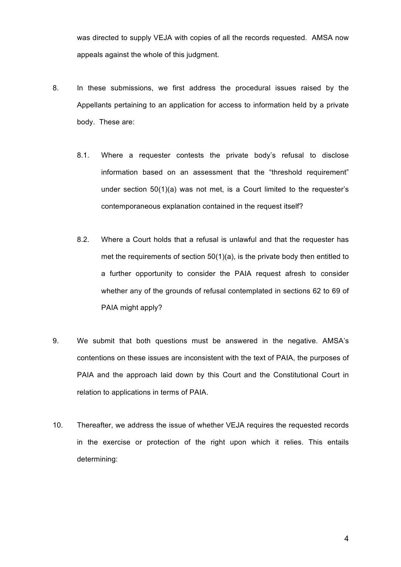was directed to supply VEJA with copies of all the records requested. AMSA now appeals against the whole of this judgment.

- 8. In these submissions, we first address the procedural issues raised by the Appellants pertaining to an application for access to information held by a private body. These are:
	- 8.1. Where a requester contests the private body's refusal to disclose information based on an assessment that the "threshold requirement" under section 50(1)(a) was not met, is a Court limited to the requester's contemporaneous explanation contained in the request itself?
	- 8.2. Where a Court holds that a refusal is unlawful and that the requester has met the requirements of section 50(1)(a), is the private body then entitled to a further opportunity to consider the PAIA request afresh to consider whether any of the grounds of refusal contemplated in sections 62 to 69 of PAIA might apply?
- 9. We submit that both questions must be answered in the negative. AMSA's contentions on these issues are inconsistent with the text of PAIA, the purposes of PAIA and the approach laid down by this Court and the Constitutional Court in relation to applications in terms of PAIA.
- 10. Thereafter, we address the issue of whether VEJA requires the requested records in the exercise or protection of the right upon which it relies. This entails determining: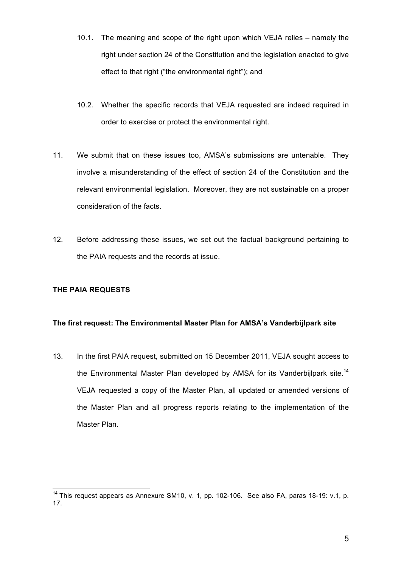- 10.1. The meaning and scope of the right upon which VEJA relies namely the right under section 24 of the Constitution and the legislation enacted to give effect to that right ("the environmental right"); and
- 10.2. Whether the specific records that VEJA requested are indeed required in order to exercise or protect the environmental right.
- 11. We submit that on these issues too, AMSA's submissions are untenable. They involve a misunderstanding of the effect of section 24 of the Constitution and the relevant environmental legislation. Moreover, they are not sustainable on a proper consideration of the facts.
- 12. Before addressing these issues, we set out the factual background pertaining to the PAIA requests and the records at issue.

## **THE PAIA REQUESTS**

## **The first request: The Environmental Master Plan for AMSA's Vanderbijlpark site**

13. In the first PAIA request, submitted on 15 December 2011, VEJA sought access to the Environmental Master Plan developed by AMSA for its Vanderbijlpark site.<sup>14</sup> VEJA requested a copy of the Master Plan, all updated or amended versions of the Master Plan and all progress reports relating to the implementation of the Master Plan.

 $\overline{\phantom{a}}$ <sup>14</sup> This request appears as Annexure SM10, v. 1, pp. 102-106. See also FA, paras 18-19: v.1, p. 17.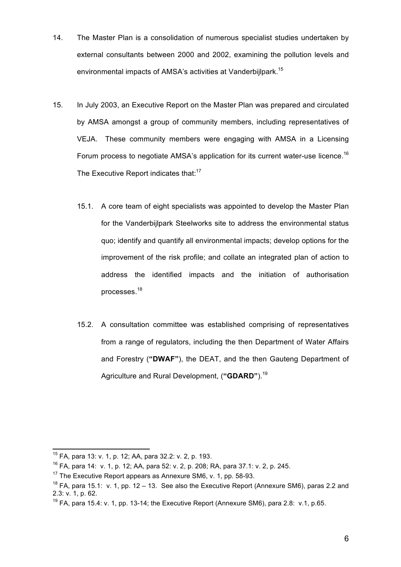- 14. The Master Plan is a consolidation of numerous specialist studies undertaken by external consultants between 2000 and 2002, examining the pollution levels and environmental impacts of AMSA's activities at Vanderbiilpark.<sup>15</sup>
- 15. In July 2003, an Executive Report on the Master Plan was prepared and circulated by AMSA amongst a group of community members, including representatives of VEJA. These community members were engaging with AMSA in a Licensing Forum process to negotiate AMSA's application for its current water-use licence.<sup>16</sup> The Executive Report indicates that:<sup>17</sup>
	- 15.1. A core team of eight specialists was appointed to develop the Master Plan for the Vanderbijlpark Steelworks site to address the environmental status quo; identify and quantify all environmental impacts; develop options for the improvement of the risk profile; and collate an integrated plan of action to address the identified impacts and the initiation of authorisation processes.<sup>18</sup>
	- 15.2. A consultation committee was established comprising of representatives from a range of regulators, including the then Department of Water Affairs and Forestry (**"DWAF"**), the DEAT, and the then Gauteng Department of Agriculture and Rural Development, (**"GDARD"**).19

 $\overline{\phantom{a}}$ <sup>15</sup> FA, para 13: v. 1, p. 12; AA, para 32.2: v. 2, p. 193.

 $16$  FA, para 14: v. 1, p. 12; AA, para 52: v. 2, p. 208; RA, para 37.1: v. 2, p. 245.

<sup>&</sup>lt;sup>17</sup> The Executive Report appears as Annexure SM6, v. 1, pp. 58-93.

 $18$  FA, para 15.1: v. 1, pp. 12 – 13. See also the Executive Report (Annexure SM6), paras 2.2 and 2.3: v. 1, p. 62.

 $19$  FA, para 15.4: v. 1, pp. 13-14; the Executive Report (Annexure SM6), para 2.8: v.1, p.65.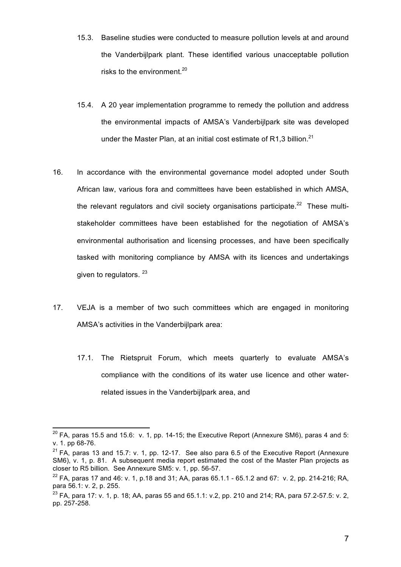- 15.3. Baseline studies were conducted to measure pollution levels at and around the Vanderbijlpark plant. These identified various unacceptable pollution risks to the environment.<sup>20</sup>
- 15.4. A 20 year implementation programme to remedy the pollution and address the environmental impacts of AMSA's Vanderbijlpark site was developed under the Master Plan, at an initial cost estimate of R1,3 billion. $^{21}$
- 16. In accordance with the environmental governance model adopted under South African law, various fora and committees have been established in which AMSA, the relevant regulators and civil society organisations participate.<sup>22</sup> These multistakeholder committees have been established for the negotiation of AMSA's environmental authorisation and licensing processes, and have been specifically tasked with monitoring compliance by AMSA with its licences and undertakings given to regulators. 23
- 17. VEJA is a member of two such committees which are engaged in monitoring AMSA's activities in the Vanderbijlpark area:
	- 17.1. The Rietspruit Forum, which meets quarterly to evaluate AMSA's compliance with the conditions of its water use licence and other waterrelated issues in the Vanderbijlpark area, and

 $^{20}$  FA, paras 15.5 and 15.6: v. 1, pp. 14-15; the Executive Report (Annexure SM6), paras 4 and 5: v. 1. pp 68-76.

 $21$  FA, paras 13 and 15.7: v. 1, pp. 12-17. See also para 6.5 of the Executive Report (Annexure SM6), v. 1, p. 81. A subsequent media report estimated the cost of the Master Plan projects as closer to R5 billion. See Annexure SM5: v. 1, pp. 56-57.

 $^{22}$  FA, paras 17 and 46: v. 1, p.18 and 31; AA, paras 65.1.1 - 65.1.2 and 67: v. 2, pp. 214-216; RA, para 56.1: v. 2, p. 255.

<sup>&</sup>lt;sup>23</sup> FA, para 17: v. 1, p. 18; AA, paras 55 and 65.1.1: v.2, pp. 210 and 214; RA, para 57.2-57.5: v. 2, pp. 257-258.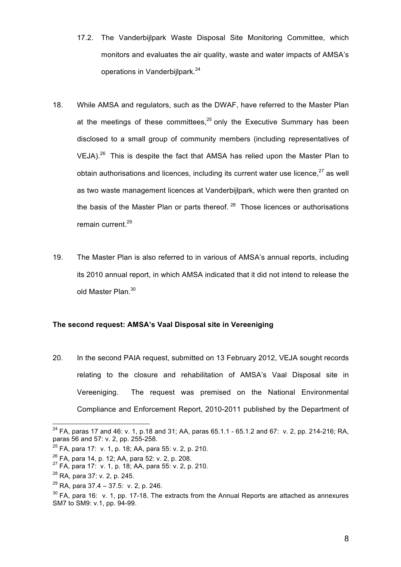- 17.2. The Vanderbijlpark Waste Disposal Site Monitoring Committee, which monitors and evaluates the air quality, waste and water impacts of AMSA's operations in Vanderbijlpark.<sup>24</sup>
- 18. While AMSA and regulators, such as the DWAF, have referred to the Master Plan at the meetings of these committees, $25$  only the Executive Summary has been disclosed to a small group of community members (including representatives of VEJA). $^{26}$  This is despite the fact that AMSA has relied upon the Master Plan to obtain authorisations and licences, including its current water use licence, $27$  as well as two waste management licences at Vanderbijlpark, which were then granted on the basis of the Master Plan or parts thereof.  $28$  Those licences or authorisations remain current.<sup>29</sup>
- 19. The Master Plan is also referred to in various of AMSA's annual reports, including its 2010 annual report, in which AMSA indicated that it did not intend to release the old Master Plan.<sup>30</sup>

## **The second request: AMSA's Vaal Disposal site in Vereeniging**

20. In the second PAIA request, submitted on 13 February 2012, VEJA sought records relating to the closure and rehabilitation of AMSA's Vaal Disposal site in Vereeniging. The request was premised on the National Environmental Compliance and Enforcement Report, 2010-2011 published by the Department of

<sup>&</sup>lt;sup>24</sup> FA, paras 17 and 46: v. 1, p.18 and 31; AA, paras 65.1.1 - 65.1.2 and 67: v. 2, pp. 214-216; RA, paras 56 and 57: v. 2, pp. 255-258.

 $25$  FA, para 17: v. 1, p. 18; AA, para 55: v. 2, p. 210.

<sup>&</sup>lt;sup>26</sup> FA, para 14, p. 12; AA, para 52: v. 2, p. 208.<br><sup>27</sup> FA, para 17: v. 1, p. 18; AA, para 55: v. 2, p. 210.

<sup>28</sup> RA, para 37: v. 2, p. 245.

 $^{29}$  RA, para 37.4 – 37.5: v. 2, p. 246.

 $30$  FA, para 16: v. 1, pp. 17-18. The extracts from the Annual Reports are attached as annexures SM7 to SM9: v.1, pp. 94-99.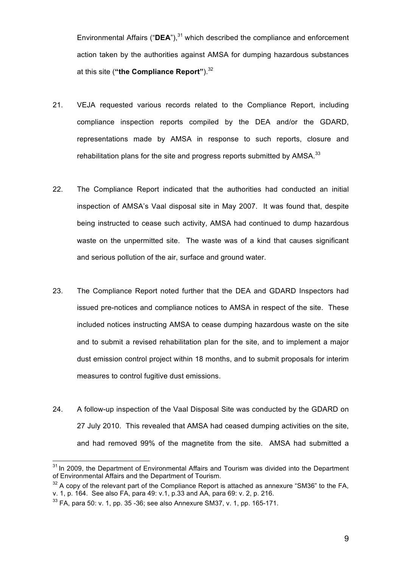Environmental Affairs ("**DEA**"), <sup>31</sup> which described the compliance and enforcement action taken by the authorities against AMSA for dumping hazardous substances at this site (**"the Compliance Report"**).32

- 21. VEJA requested various records related to the Compliance Report, including compliance inspection reports compiled by the DEA and/or the GDARD, representations made by AMSA in response to such reports, closure and rehabilitation plans for the site and progress reports submitted by AMSA. $^{33}$
- 22. The Compliance Report indicated that the authorities had conducted an initial inspection of AMSA's Vaal disposal site in May 2007. It was found that, despite being instructed to cease such activity, AMSA had continued to dump hazardous waste on the unpermitted site. The waste was of a kind that causes significant and serious pollution of the air, surface and ground water.
- 23. The Compliance Report noted further that the DEA and GDARD Inspectors had issued pre-notices and compliance notices to AMSA in respect of the site. These included notices instructing AMSA to cease dumping hazardous waste on the site and to submit a revised rehabilitation plan for the site, and to implement a major dust emission control project within 18 months, and to submit proposals for interim measures to control fugitive dust emissions.
- 24. A follow-up inspection of the Vaal Disposal Site was conducted by the GDARD on 27 July 2010. This revealed that AMSA had ceased dumping activities on the site, and had removed 99% of the magnetite from the site. AMSA had submitted a

 $\overline{a}$ <sup>31</sup> In 2009, the Department of Environmental Affairs and Tourism was divided into the Department of Environmental Affairs and the Department of Tourism.

 $32$  A copy of the relevant part of the Compliance Report is attached as annexure "SM36" to the FA. v. 1, p. 164. See also FA, para 49: v.1, p.33 and AA, para 69: v. 2, p. 216.

 $33$  FA, para 50: v. 1, pp. 35 -36; see also Annexure SM37, v. 1, pp. 165-171.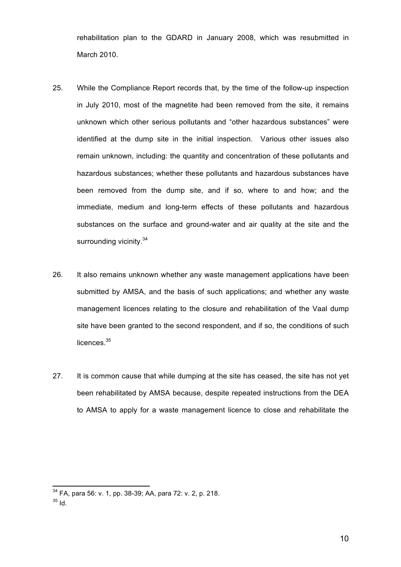rehabilitation plan to the GDARD in January 2008, which was resubmitted in March 2010.

- 25. While the Compliance Report records that, by the time of the follow-up inspection in July 2010, most of the magnetite had been removed from the site, it remains unknown which other serious pollutants and "other hazardous substances" were identified at the dump site in the initial inspection. Various other issues also remain unknown, including: the quantity and concentration of these pollutants and hazardous substances; whether these pollutants and hazardous substances have been removed from the dump site, and if so, where to and how; and the immediate, medium and long-term effects of these pollutants and hazardous substances on the surface and ground-water and air quality at the site and the surrounding vicinity.<sup>34</sup>
- 26. It also remains unknown whether any waste management applications have been submitted by AMSA, and the basis of such applications; and whether any waste management licences relating to the closure and rehabilitation of the Vaal dump site have been granted to the second respondent, and if so, the conditions of such licences.<sup>35</sup>
- 27. It is common cause that while dumping at the site has ceased, the site has not yet been rehabilitated by AMSA because, despite repeated instructions from the DEA to AMSA to apply for a waste management licence to close and rehabilitate the

<sup>&</sup>lt;sup>34</sup> FA, para 56: v. 1, pp. 38-39; AA, para 72: v. 2, p. 218.

 $35$  Id.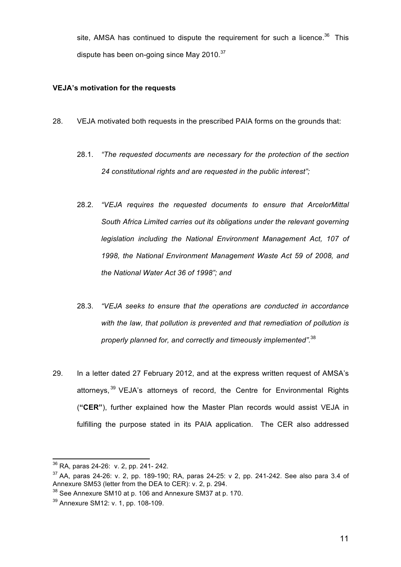site, AMSA has continued to dispute the requirement for such a licence.<sup>36</sup> This dispute has been on-going since May 2010.<sup>37</sup>

## **VEJA's motivation for the requests**

- 28. VEJA motivated both requests in the prescribed PAIA forms on the grounds that:
	- 28.1. *"The requested documents are necessary for the protection of the section 24 constitutional rights and are requested in the public interest";*
	- 28.2. *"VEJA requires the requested documents to ensure that ArcelorMittal South Africa Limited carries out its obligations under the relevant governing legislation including the National Environment Management Act, 107 of 1998, the National Environment Management Waste Act 59 of 2008, and the National Water Act 36 of 1998"; and*
	- 28.3. *"VEJA seeks to ensure that the operations are conducted in accordance with the law, that pollution is prevented and that remediation of pollution is properly planned for, and correctly and timeously implemented".* 38
- 29. In a letter dated 27 February 2012, and at the express written request of AMSA's attornevs.<sup>39</sup> VEJA's attornevs of record, the Centre for Environmental Rights (**"CER"**), further explained how the Master Plan records would assist VEJA in fulfilling the purpose stated in its PAIA application. The CER also addressed

 $\overline{a}$ 

11

 $36$  RA, paras 24-26: v. 2, pp. 241- 242.

 $37$  AA, paras 24-26; v. 2, pp. 189-190; RA, paras 24-25; v 2, pp. 241-242. See also para 3.4 of Annexure SM53 (letter from the DEA to CER): v. 2, p. 294.

<sup>&</sup>lt;sup>38</sup> See Annexure SM10 at p. 106 and Annexure SM37 at p. 170.

<sup>39</sup> Annexure SM12: v. 1, pp. 108-109.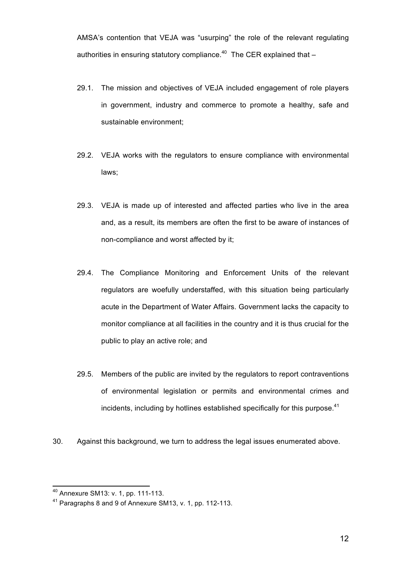AMSA's contention that VEJA was "usurping" the role of the relevant regulating authorities in ensuring statutory compliance.<sup>40</sup> The CER explained that  $-$ 

- 29.1. The mission and objectives of VEJA included engagement of role players in government, industry and commerce to promote a healthy, safe and sustainable environment;
- 29.2. VEJA works with the regulators to ensure compliance with environmental laws;
- 29.3. VEJA is made up of interested and affected parties who live in the area and, as a result, its members are often the first to be aware of instances of non-compliance and worst affected by it;
- 29.4. The Compliance Monitoring and Enforcement Units of the relevant regulators are woefully understaffed, with this situation being particularly acute in the Department of Water Affairs. Government lacks the capacity to monitor compliance at all facilities in the country and it is thus crucial for the public to play an active role; and
- 29.5. Members of the public are invited by the regulators to report contraventions of environmental legislation or permits and environmental crimes and incidents, including by hotlines established specifically for this purpose.<sup>41</sup>
- 30. Against this background, we turn to address the legal issues enumerated above.

 $\overline{a}$ 

12

<sup>&</sup>lt;sup>40</sup> Annexure SM13: v. 1, pp. 111-113.

<sup>41</sup> Paragraphs 8 and 9 of Annexure SM13, v. 1, pp. 112-113.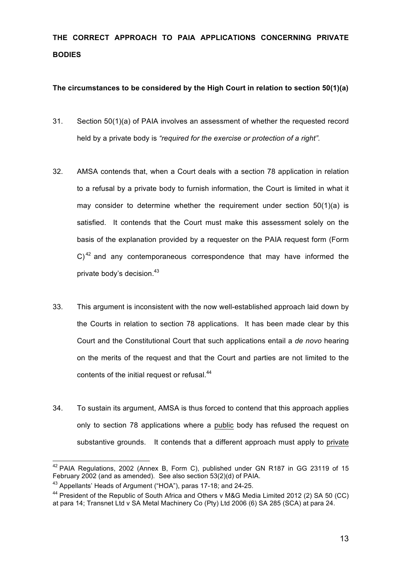# **THE CORRECT APPROACH TO PAIA APPLICATIONS CONCERNING PRIVATE BODIES**

## **The circumstances to be considered by the High Court in relation to section 50(1)(a)**

- 31. Section 50(1)(a) of PAIA involves an assessment of whether the requested record held by a private body is *"required for the exercise or protection of a right".*
- 32. AMSA contends that, when a Court deals with a section 78 application in relation to a refusal by a private body to furnish information, the Court is limited in what it may consider to determine whether the requirement under section  $50(1)(a)$  is satisfied. It contends that the Court must make this assessment solely on the basis of the explanation provided by a requester on the PAIA request form (Form  $C$ <sup>42</sup> and any contemporaneous correspondence that may have informed the private body's decision. 43
- 33. This argument is inconsistent with the now well-established approach laid down by the Courts in relation to section 78 applications. It has been made clear by this Court and the Constitutional Court that such applications entail a *de novo* hearing on the merits of the request and that the Court and parties are not limited to the contents of the initial request or refusal.<sup>44</sup>
- 34. To sustain its argument, AMSA is thus forced to contend that this approach applies only to section 78 applications where a public body has refused the request on substantive grounds. It contends that a different approach must apply to private

 $\overline{\phantom{a}}$  $42$  PAIA Regulations, 2002 (Annex B, Form C), published under GN R187 in GG 23119 of 15 February 2002 (and as amended). See also section 53(2)(d) of PAIA.

<sup>43</sup> Appellants' Heads of Argument ("HOA"), paras 17-18; and 24-25.

<sup>&</sup>lt;sup>44</sup> President of the Republic of South Africa and Others v M&G Media Limited 2012 (2) SA 50 (CC) at para 14; Transnet Ltd v SA Metal Machinery Co (Pty) Ltd 2006 (6) SA 285 (SCA) at para 24.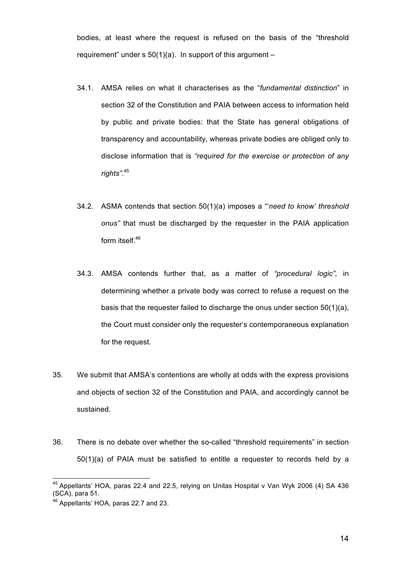bodies, at least where the request is refused on the basis of the "threshold requirement" under  $s$  50(1)(a). In support of this argument –

- 34.1. AMSA relies on what it characterises as the "*fundamental distinction*" in section 32 of the Constitution and PAIA between access to information held by public and private bodies: that the State has general obligations of transparency and accountability, whereas private bodies are obliged only to disclose information that is *"required for the exercise or protection of any rights"*. 45
- 34.2. ASMA contends that section 50(1)(a) imposes a "'*need to know' threshold onus"* that must be discharged by the requester in the PAIA application form itself.<sup>46</sup>
- 34.3. AMSA contends further that, as a matter of *"procedural logic",* in determining whether a private body was correct to refuse a request on the basis that the requester failed to discharge the onus under section 50(1)(a), the Court must consider only the requester's contemporaneous explanation for the request.
- 35. We submit that AMSA's contentions are wholly at odds with the express provisions and objects of section 32 of the Constitution and PAIA, and accordingly cannot be sustained.
- 36. There is no debate over whether the so-called "threshold requirements" in section 50(1)(a) of PAIA must be satisfied to entitle a requester to records held by a

 $45$  Appellants' HOA, paras 22.4 and 22.5, relying on Unitas Hospital v Van Wyk 2006 (4) SA 436 (SCA), para 51.

<sup>46</sup> Appellants' HOA, paras 22.7 and 23.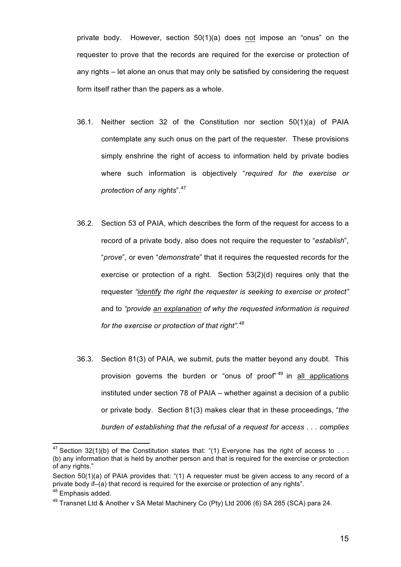private body. However, section 50(1)(a) does not impose an "onus" on the requester to prove that the records are required for the exercise or protection of any rights – let alone an onus that may only be satisfied by considering the request form itself rather than the papers as a whole.

- 36.1. Neither section 32 of the Constitution nor section 50(1)(a) of PAIA contemplate any such onus on the part of the requester. These provisions simply enshrine the right of access to information held by private bodies where such information is objectively "*required for the exercise or protection of any rights*". 47
- 36.2. Section 53 of PAIA, which describes the form of the request for access to a record of a private body, also does not require the requester to "*establish*", "*prove*", or even "*demonstrate*" that it requires the requested records for the exercise or protection of a right. Section 53(2)(d) requires only that the requester *"identify the right the requester is seeking to exercise or protect"*  and to *"provide an explanation of why the requested information is required for the exercise or protection of that right". 48*
- 36.3. Section 81(3) of PAIA, we submit, puts the matter beyond any doubt. This provision governs the burden or "onus of proof"<sup>49</sup> in all applications instituted under section 78 of PAIA – whether against a decision of a public or private body. Section 81(3) makes clear that in these proceedings, "*the burden of establishing that the refusal of a request for access . . . complies*

<sup>&</sup>lt;sup>47</sup> Section 32(1)(b) of the Constitution states that: "(1) Everyone has the right of access to . . . (b) any information that is held by another person and that is required for the exercise or protection of any rights."

Section 50(1)(a) of PAIA provides that: "(1) A requester must be given access to any record of a private body if–(a) that record is required for the exercise or protection of any rights".

<sup>&</sup>lt;sup>48</sup> Emphasis added.

<sup>&</sup>lt;sup>49</sup> Transnet Ltd & Another v SA Metal Machinery Co (Pty) Ltd 2006 (6) SA 285 (SCA) para 24.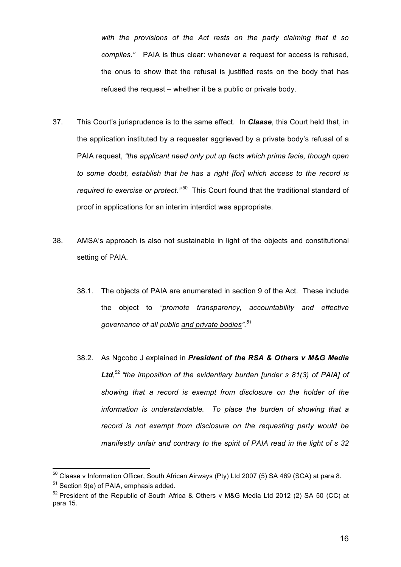*with the provisions of the Act rests on the party claiming that it so complies."* PAIA is thus clear: whenever a request for access is refused, the onus to show that the refusal is justified rests on the body that has refused the request – whether it be a public or private body.

- 37. This Court's jurisprudence is to the same effect. In *Claase*, this Court held that, in the application instituted by a requester aggrieved by a private body's refusal of a PAIA request, *"the applicant need only put up facts which prima facie, though open to some doubt, establish that he has a right [for] which access to the record is required to exercise or protect.*"<sup>50</sup> This Court found that the traditional standard of proof in applications for an interim interdict was appropriate.
- 38. AMSA's approach is also not sustainable in light of the objects and constitutional setting of PAIA.
	- 38.1. The objects of PAIA are enumerated in section 9 of the Act. These include the object to *"promote transparency, accountability and effective governance of all public and private bodies".<sup>51</sup>*
	- 38.2. As Ngcobo J explained in *President of the RSA & Others v M&G Media Ltd*, <sup>52</sup> *"the imposition of the evidentiary burden [under s 81(3) of PAIA] of showing that a record is exempt from disclosure on the holder of the information is understandable. To place the burden of showing that a record is not exempt from disclosure on the requesting party would be manifestly unfair and contrary to the spirit of PAIA read in the light of s 32*

 $^{50}$  Claase v Information Officer, South African Airways (Pty) Ltd 2007 (5) SA 469 (SCA) at para 8.

 $51$  Section 9(e) of PAIA, emphasis added.

 $52$  President of the Republic of South Africa & Others v M&G Media Ltd 2012 (2) SA 50 (CC) at para 15.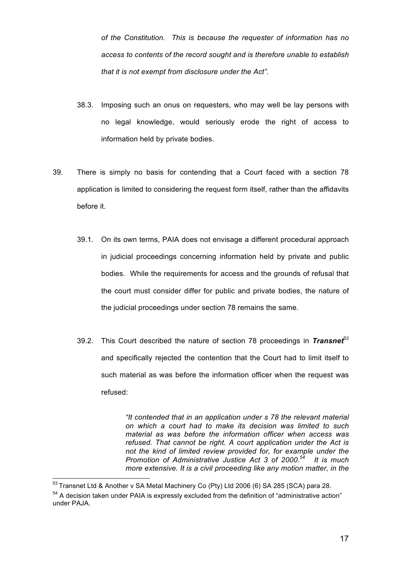*of the Constitution. This is because the requester of information has no access to contents of the record sought and is therefore unable to establish that it is not exempt from disclosure under the Act".*

- 38.3. Imposing such an onus on requesters, who may well be lay persons with no legal knowledge, would seriously erode the right of access to information held by private bodies.
- 39. There is simply no basis for contending that a Court faced with a section 78 application is limited to considering the request form itself, rather than the affidavits before it.
	- 39.1. On its own terms, PAIA does not envisage a different procedural approach in judicial proceedings concerning information held by private and public bodies. While the requirements for access and the grounds of refusal that the court must consider differ for public and private bodies, the nature of the judicial proceedings under section 78 remains the same.
	- 39.2. This Court described the nature of section 78 proceedings in *Transnet*<sup>53</sup> and specifically rejected the contention that the Court had to limit itself to such material as was before the information officer when the request was refused:

*"It contended that in an application under s 78 the relevant material on which a court had to make its decision was limited to such material as was before the information officer when access was refused. That cannot be right. A court application under the Act is not the kind of limited review provided for, for example under the Promotion of Administrative Justice Act 3 of 2000.54 It is much more extensive. It is a civil proceeding like any motion matter, in the* 

 $^{53}$  Transnet Ltd & Another v SA Metal Machinery Co (Pty) Ltd 2006 (6) SA 285 (SCA) para 28.

<sup>&</sup>lt;sup>54</sup> A decision taken under PAIA is expressly excluded from the definition of "administrative action" under PAJA.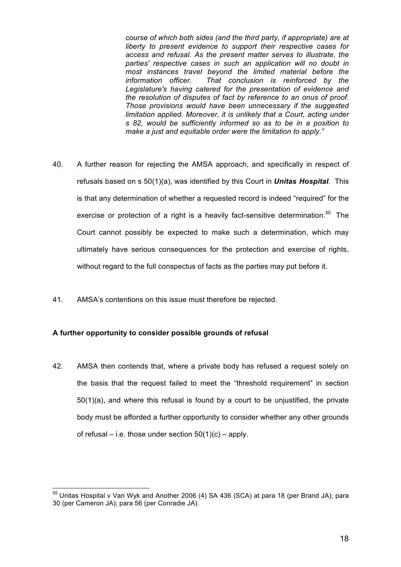*course of which both sides (and the third party, if appropriate) are at liberty to present evidence to support their respective cases for access and refusal. As the present matter serves to illustrate, the parties' respective cases in such an application will no doubt in most instances travel beyond the limited material before the information officer. That conclusion is reinforced by the Legislature's having catered for the presentation of evidence and the resolution of disputes of fact by reference to an onus of proof. Those provisions would have been unnecessary if the suggested limitation applied. Moreover, it is unlikely that a Court, acting under s 82, would be sufficiently informed so as to be in a position to make a just and equitable order were the limitation to apply."*

- 40. A further reason for rejecting the AMSA approach, and specifically in respect of refusals based on s 50(1)(a), was identified by this Court in *Unitas Hospital*. This is that any determination of whether a requested record is indeed "required" for the exercise or protection of a right is a heavily fact-sensitive determination.<sup>55</sup> The Court cannot possibly be expected to make such a determination, which may ultimately have serious consequences for the protection and exercise of rights, without regard to the full conspectus of facts as the parties may put before it.
- 41. AMSA's contentions on this issue must therefore be rejected.

#### **A further opportunity to consider possible grounds of refusal**

 $\overline{a}$ 

42. AMSA then contends that, where a private body has refused a request solely on the basis that the request failed to meet the "threshold requirement" in section 50(1)(a), and where this refusal is found by a court to be unjustified, the private body must be afforded a further opportunity to consider whether any other grounds of refusal – i.e. those under section  $50(1)(c)$  – apply.

 $55$  Unitas Hospital v Van Wyk and Another 2006 (4) SA 436 (SCA) at para 18 (per Brand JA); para 30 (per Cameron JA); para 56 (per Conradie JA).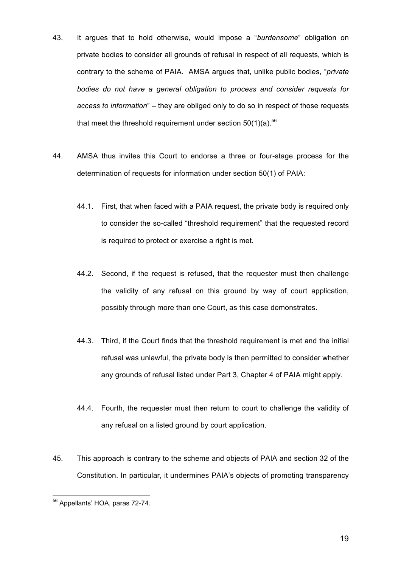- 43. It argues that to hold otherwise, would impose a "*burdensome*" obligation on private bodies to consider all grounds of refusal in respect of all requests, which is contrary to the scheme of PAIA. AMSA argues that, unlike public bodies, "*private bodies do not have a general obligation to process and consider requests for access to information*" – they are obliged only to do so in respect of those requests that meet the threshold requirement under section  $50(1)(a)$ .<sup>56</sup>
- 44. AMSA thus invites this Court to endorse a three or four-stage process for the determination of requests for information under section 50(1) of PAIA:
	- 44.1. First, that when faced with a PAIA request, the private body is required only to consider the so-called "threshold requirement" that the requested record is required to protect or exercise a right is met.
	- 44.2. Second, if the request is refused, that the requester must then challenge the validity of any refusal on this ground by way of court application, possibly through more than one Court, as this case demonstrates.
	- 44.3. Third, if the Court finds that the threshold requirement is met and the initial refusal was unlawful, the private body is then permitted to consider whether any grounds of refusal listed under Part 3, Chapter 4 of PAIA might apply.
	- 44.4. Fourth, the requester must then return to court to challenge the validity of any refusal on a listed ground by court application.
- 45. This approach is contrary to the scheme and objects of PAIA and section 32 of the Constitution. In particular, it undermines PAIA's objects of promoting transparency

 $\overline{a}$ <sup>56</sup> Appellants' HOA, paras 72-74.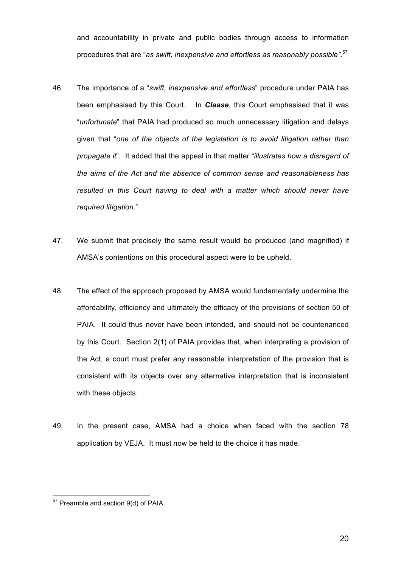and accountability in private and public bodies through access to information procedures that are "*as swift, inexpensive and effortless as reasonably possible"*. 57

- 46. The importance of a "*swift, inexpensive and effortless*" procedure under PAIA has been emphasised by this Court. In *Claase*, this Court emphasised that it was "*unfortunate*" that PAIA had produced so much unnecessary litigation and delays given that "*one of the objects of the legislation is to avoid litigation rather than propagate it*". It added that the appeal in that matter "*illustrates how a disregard of the aims of the Act and the absence of common sense and reasonableness has resulted in this Court having to deal with a matter which should never have required litigation*."
- 47. We submit that precisely the same result would be produced (and magnified) if AMSA's contentions on this procedural aspect were to be upheld.
- 48. The effect of the approach proposed by AMSA would fundamentally undermine the affordability, efficiency and ultimately the efficacy of the provisions of section 50 of PAIA. It could thus never have been intended, and should not be countenanced by this Court. Section 2(1) of PAIA provides that, when interpreting a provision of the Act, a court must prefer any reasonable interpretation of the provision that is consistent with its objects over any alternative interpretation that is inconsistent with these objects.
- 49. In the present case, AMSA had a choice when faced with the section 78 application by VEJA. It must now be held to the choice it has made.

 $\overline{a}$ 

20

 $57$  Preamble and section  $9(d)$  of PAIA.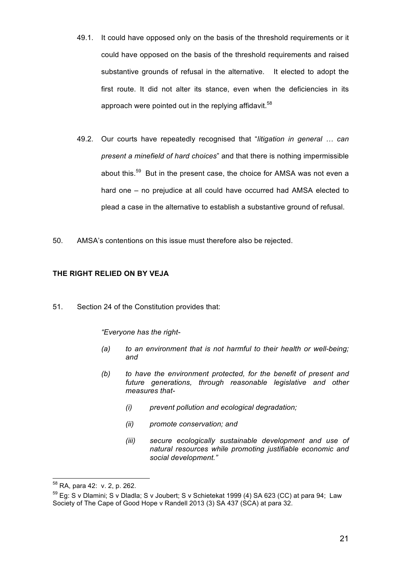- 49.1. It could have opposed only on the basis of the threshold requirements or it could have opposed on the basis of the threshold requirements and raised substantive grounds of refusal in the alternative. It elected to adopt the first route. It did not alter its stance, even when the deficiencies in its approach were pointed out in the replying affidavit.<sup>58</sup>
- 49.2. Our courts have repeatedly recognised that "*litigation in general … can present a minefield of hard choices*" and that there is nothing impermissible about this.<sup>59</sup> But in the present case, the choice for AMSA was not even a hard one – no prejudice at all could have occurred had AMSA elected to plead a case in the alternative to establish a substantive ground of refusal.
- 50. AMSA's contentions on this issue must therefore also be rejected.

## **THE RIGHT RELIED ON BY VEJA**

51. Section 24 of the Constitution provides that:

*"Everyone has the right-*

- *(a) to an environment that is not harmful to their health or well-being; and*
- *(b) to have the environment protected, for the benefit of present and future generations, through reasonable legislative and other measures that-*
	- *(i) prevent pollution and ecological degradation;*
	- *(ii) promote conservation; and*
	- *(iii) secure ecologically sustainable development and use of natural resources while promoting justifiable economic and social development."*

<sup>58</sup> RA, para 42: v. 2, p. 262.

 $59$  Eq: S v Dlamini; S v Dladla; S v Joubert; S v Schietekat 1999 (4) SA 623 (CC) at para 94; Law Society of The Cape of Good Hope v Randell 2013 (3) SA 437 (SCA) at para 32.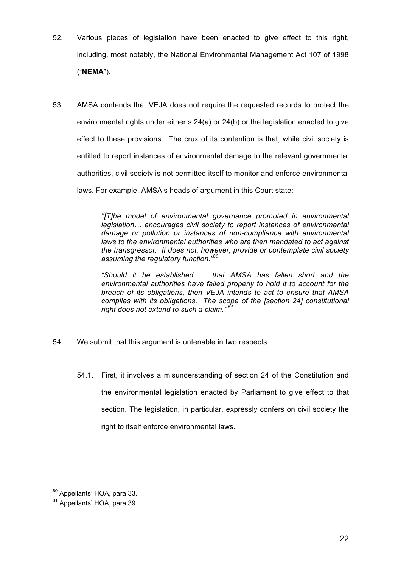- 52. Various pieces of legislation have been enacted to give effect to this right, including, most notably, the National Environmental Management Act 107 of 1998 ("**NEMA**").
- 53. AMSA contends that VEJA does not require the requested records to protect the environmental rights under either s 24(a) or 24(b) or the legislation enacted to give effect to these provisions. The crux of its contention is that, while civil society is entitled to report instances of environmental damage to the relevant governmental authorities, civil society is not permitted itself to monitor and enforce environmental laws. For example, AMSA's heads of argument in this Court state:

*"[T]he model of environmental governance promoted in environmental legislation… encourages civil society to report instances of environmental damage or pollution or instances of non-compliance with environmental laws to the environmental authorities who are then mandated to act against the transgressor. It does not, however, provide or contemplate civil society assuming the regulatory function."60*

*"Should it be established … that AMSA has fallen short and the environmental authorities have failed properly to hold it to account for the breach of its obligations, then VEJA intends to act to ensure that AMSA complies with its obligations. The scope of the [section 24] constitutional right does not extend to such a claim." <sup>61</sup>*

- 54. We submit that this argument is untenable in two respects:
	- 54.1. First, it involves a misunderstanding of section 24 of the Constitution and the environmental legislation enacted by Parliament to give effect to that section. The legislation, in particular, expressly confers on civil society the right to itself enforce environmental laws.

 $\overline{a}$ <sup>60</sup> Appellants' HOA, para 33.

<sup>&</sup>lt;sup>61</sup> Appellants' HOA, para 39.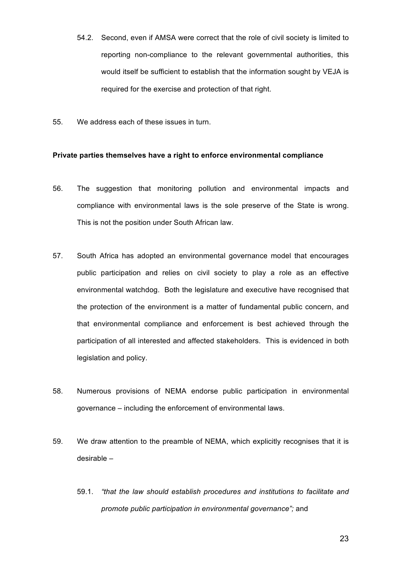- 54.2. Second, even if AMSA were correct that the role of civil society is limited to reporting non-compliance to the relevant governmental authorities, this would itself be sufficient to establish that the information sought by VEJA is required for the exercise and protection of that right.
- 55. We address each of these issues in turn.

#### **Private parties themselves have a right to enforce environmental compliance**

- 56. The suggestion that monitoring pollution and environmental impacts and compliance with environmental laws is the sole preserve of the State is wrong. This is not the position under South African law.
- 57. South Africa has adopted an environmental governance model that encourages public participation and relies on civil society to play a role as an effective environmental watchdog. Both the legislature and executive have recognised that the protection of the environment is a matter of fundamental public concern, and that environmental compliance and enforcement is best achieved through the participation of all interested and affected stakeholders. This is evidenced in both legislation and policy.
- 58. Numerous provisions of NEMA endorse public participation in environmental governance – including the enforcement of environmental laws.
- 59. We draw attention to the preamble of NEMA, which explicitly recognises that it is desirable –
	- 59.1. *"that the law should establish procedures and institutions to facilitate and promote public participation in environmental governance";* and

23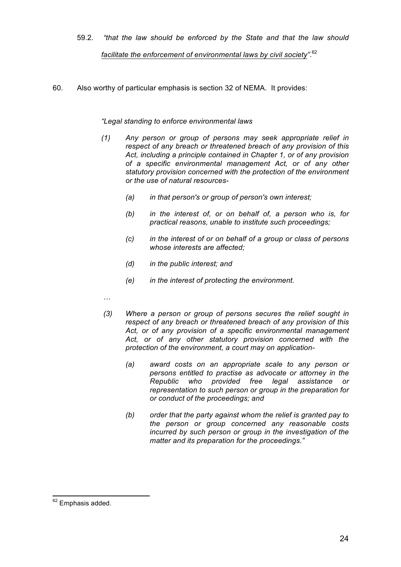- 59.2. *"that the law should be enforced by the State and that the law should facilitate the enforcement of environmental laws by civil society"*. 62
- 60. Also worthy of particular emphasis is section 32 of NEMA. It provides:

## *"Legal standing to enforce environmental laws*

- *(1) Any person or group of persons may seek appropriate relief in respect of any breach or threatened breach of any provision of this Act, including a principle contained in Chapter 1, or of any provision of a specific environmental management Act, or of any other statutory provision concerned with the protection of the environment or the use of natural resources-*
	- *(a) in that person's or group of person's own interest;*
	- *(b) in the interest of, or on behalf of, a person who is, for practical reasons, unable to institute such proceedings;*
	- *(c) in the interest of or on behalf of a group or class of persons whose interests are affected;*
	- *(d) in the public interest; and*
	- *(e) in the interest of protecting the environment.*
- *…*
- *(3) Where a person or group of persons secures the relief sought in respect of any breach or threatened breach of any provision of this Act, or of any provision of a specific environmental management Act, or of any other statutory provision concerned with the protection of the environment, a court may on application-*
	- *(a) award costs on an appropriate scale to any person or persons entitled to practise as advocate or attorney in the Republic who provided free legal assistance or representation to such person or group in the preparation for or conduct of the proceedings; and*
	- *(b) order that the party against whom the relief is granted pay to the person or group concerned any reasonable costs incurred by such person or group in the investigation of the matter and its preparation for the proceedings."*

 $\overline{a}$ <sup>62</sup> Emphasis added.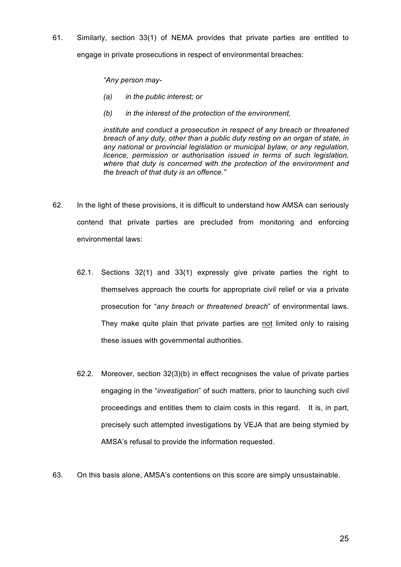61. Similarly, section 33(1) of NEMA provides that private parties are entitled to engage in private prosecutions in respect of environmental breaches:

*"Any person may-*

- *(a) in the public interest; or*
- *(b) in the interest of the protection of the environment,*

*institute and conduct a prosecution in respect of any breach or threatened breach of any duty, other than a public duty resting on an organ of state, in any national or provincial legislation or municipal bylaw, or any regulation, licence, permission or authorisation issued in terms of such legislation, where that duty is concerned with the protection of the environment and the breach of that duty is an offence."*

- 62. In the light of these provisions, it is difficult to understand how AMSA can seriously contend that private parties are precluded from monitoring and enforcing environmental laws:
	- 62.1. Sections 32(1) and 33(1) expressly give private parties the right to themselves approach the courts for appropriate civil relief or via a private prosecution for "*any breach or threatened breach*" of environmental laws. They make quite plain that private parties are not limited only to raising these issues with governmental authorities.
	- 62.2. Moreover, section 32(3)(b) in effect recognises the value of private parties engaging in the "*investigation*" of such matters, prior to launching such civil proceedings and entitles them to claim costs in this regard. It is, in part, precisely such attempted investigations by VEJA that are being stymied by AMSA's refusal to provide the information requested.
- 63. On this basis alone, AMSA's contentions on this score are simply unsustainable.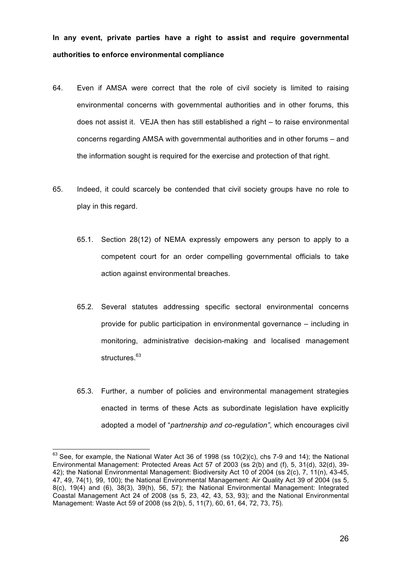**In any event, private parties have a right to assist and require governmental authorities to enforce environmental compliance**

- 64. Even if AMSA were correct that the role of civil society is limited to raising environmental concerns with governmental authorities and in other forums, this does not assist it. VEJA then has still established a right – to raise environmental concerns regarding AMSA with governmental authorities and in other forums – and the information sought is required for the exercise and protection of that right.
- 65. Indeed, it could scarcely be contended that civil society groups have no role to play in this regard.
	- 65.1. Section 28(12) of NEMA expressly empowers any person to apply to a competent court for an order compelling governmental officials to take action against environmental breaches.
	- 65.2. Several statutes addressing specific sectoral environmental concerns provide for public participation in environmental governance – including in monitoring, administrative decision-making and localised management structures.<sup>63</sup>
	- 65.3. Further, a number of policies and environmental management strategies enacted in terms of these Acts as subordinate legislation have explicitly adopted a model of "*partnership and co-regulation"*, which encourages civil

 $^{63}$  See, for example, the National Water Act 36 of 1998 (ss 10(2)(c), chs 7-9 and 14); the National Environmental Management: Protected Areas Act 57 of 2003 (ss 2(b) and (f), 5, 31(d), 32(d), 39- 42); the National Environmental Management: Biodiversity Act 10 of 2004 (ss 2(c), 7, 11(n), 43-45, 47, 49, 74(1), 99, 100); the National Environmental Management: Air Quality Act 39 of 2004 (ss 5, 8(c), 19(4) and (6), 38(3), 39(h), 56, 57); the National Environmental Management: Integrated Coastal Management Act 24 of 2008 (ss 5, 23, 42, 43, 53, 93); and the National Environmental Management: Waste Act 59 of 2008 (ss 2(b), 5, 11(7), 60, 61, 64, 72, 73, 75).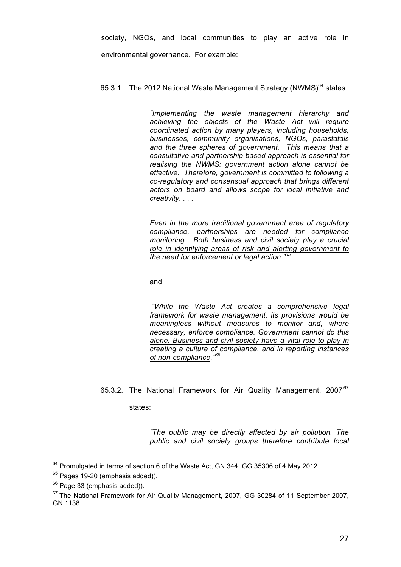society, NGOs, and local communities to play an active role in environmental governance. For example:

#### 65.3.1. The 2012 National Waste Management Strategy (NWMS) $^{64}$  states:

*"Implementing the waste management hierarchy and achieving the objects of the Waste Act will require coordinated action by many players, including households, businesses, community organisations, NGOs, parastatals and the three spheres of government. This means that a consultative and partnership based approach is essential for realising the NWMS: government action alone cannot be effective. Therefore, government is committed to following a co-regulatory and consensual approach that brings different actors on board and allows scope for local initiative and creativity. . . .*

*Even in the more traditional government area of regulatory compliance, partnerships are needed for compliance monitoring. Both business and civil society play a crucial role in identifying areas of risk and alerting government to the need for enforcement or legal action." 65*

and

*"While the Waste Act creates a comprehensive legal framework for waste management, its provisions would be meaningless without measures to monitor and, where necessary, enforce compliance. Government cannot do this alone. Business and civil society have a vital role to play in creating a culture of compliance, and in reporting instances of non-compliance."66* 

65.3.2. The National Framework for Air Quality Management, 2007<sup>67</sup>

states:

*"The public may be directly affected by air pollution. The public and civil society groups therefore contribute local* 

 $\overline{a}$  $^{64}$  Promulgated in terms of section 6 of the Waste Act, GN 344, GG 35306 of 4 May 2012.

 $65$  Pages 19-20 (emphasis added)).

 $66$  Page 33 (emphasis added)).

<sup>&</sup>lt;sup>67</sup> The National Framework for Air Quality Management, 2007, GG 30284 of 11 September 2007, GN 1138.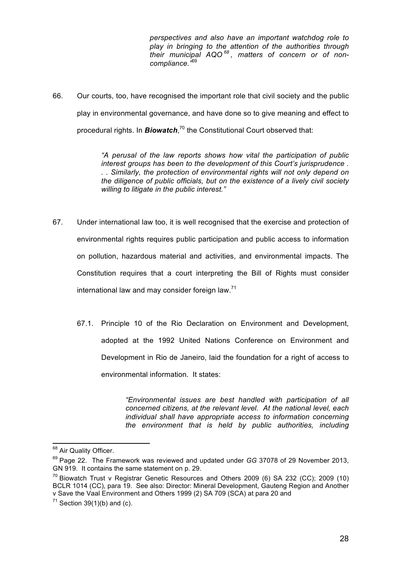*perspectives and also have an important watchdog role to play in bringing to the attention of the authorities through their municipal AQO <sup>68</sup> , matters of concern or of noncompliance."*<sup>69</sup>

66. Our courts, too, have recognised the important role that civil society and the public play in environmental governance, and have done so to give meaning and effect to procedural rights. In **Biowatch**,<sup>70</sup> the Constitutional Court observed that:

> *"A perusal of the law reports shows how vital the participation of public interest groups has been to the development of this Court's jurisprudence . . . Similarly, the protection of environmental rights will not only depend on the diligence of public officials, but on the existence of a lively civil society willing to litigate in the public interest."*

- 67. Under international law too, it is well recognised that the exercise and protection of environmental rights requires public participation and public access to information on pollution, hazardous material and activities, and environmental impacts. The Constitution requires that a court interpreting the Bill of Rights must consider international law and may consider foreign law. $71$ 
	- 67.1. Principle 10 of the Rio Declaration on Environment and Development, adopted at the 1992 United Nations Conference on Environment and Development in Rio de Janeiro, laid the foundation for a right of access to environmental information. It states:

*"Environmental issues are best handled with participation of all concerned citizens, at the relevant level. At the national level, each individual shall have appropriate access to information concerning the environment that is held by public authorities, including* 

<sup>&</sup>lt;sup>68</sup> Air Quality Officer.

<sup>69</sup> Page 22. The Framework was reviewed and updated under *GG* 37078 of 29 November 2013, GN 919. It contains the same statement on p. 29.

 $70$  Biowatch Trust v Registrar Genetic Resources and Others 2009 (6) SA 232 (CC); 2009 (10) BCLR 1014 (CC), para 19. See also: Director: Mineral Development, Gauteng Region and Another v Save the Vaal Environment and Others 1999 (2) SA 709 (SCA) at para 20 and

 $71$  Section 39(1)(b) and (c).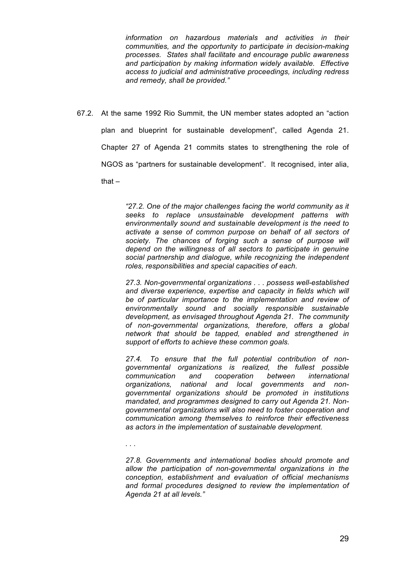*information on hazardous materials and activities in their communities, and the opportunity to participate in decision-making processes. States shall facilitate and encourage public awareness and participation by making information widely available. Effective access to judicial and administrative proceedings, including redress and remedy, shall be provided."* 

67.2. At the same 1992 Rio Summit, the UN member states adopted an "action plan and blueprint for sustainable development", called Agenda 21. Chapter 27 of Agenda 21 commits states to strengthening the role of NGOS as "partners for sustainable development". It recognised, inter alia, that –

> *"27.2. One of the major challenges facing the world community as it seeks to replace unsustainable development patterns with environmentally sound and sustainable development is the need to activate a sense of common purpose on behalf of all sectors of society. The chances of forging such a sense of purpose will depend on the willingness of all sectors to participate in genuine social partnership and dialogue, while recognizing the independent roles, responsibilities and special capacities of each.*

> *27.3. Non-governmental organizations . . . possess well-established and diverse experience, expertise and capacity in fields which will be of particular importance to the implementation and review of environmentally sound and socially responsible sustainable development, as envisaged throughout Agenda 21. The community of non-governmental organizations, therefore, offers a global network that should be tapped, enabled and strengthened in support of efforts to achieve these common goals.*

> *27.4. To ensure that the full potential contribution of nongovernmental organizations is realized, the fullest possible communication and cooperation between international organizations, national and local governments and nongovernmental organizations should be promoted in institutions mandated, and programmes designed to carry out Agenda 21. Nongovernmental organizations will also need to foster cooperation and communication among themselves to reinforce their effectiveness as actors in the implementation of sustainable development.*

*. . .* 

*27.8. Governments and international bodies should promote and allow the participation of non-governmental organizations in the conception, establishment and evaluation of official mechanisms and formal procedures designed to review the implementation of Agenda 21 at all levels."*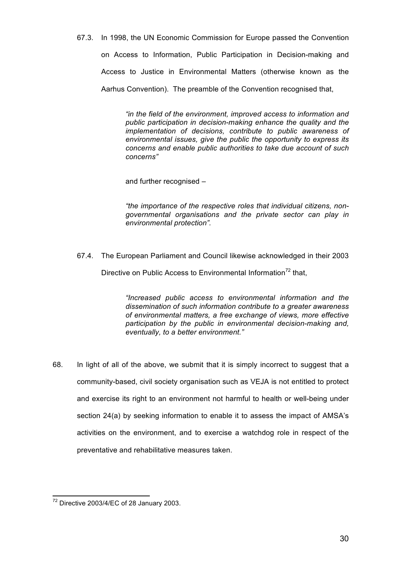67.3. In 1998, the UN Economic Commission for Europe passed the Convention

on Access to Information, Public Participation in Decision-making and Access to Justice in Environmental Matters (otherwise known as the Aarhus Convention). The preamble of the Convention recognised that,

> *"in the field of the environment, improved access to information and public participation in decision-making enhance the quality and the implementation of decisions, contribute to public awareness of environmental issues, give the public the opportunity to express its concerns and enable public authorities to take due account of such concerns"*

and further recognised –

*"the importance of the respective roles that individual citizens, nongovernmental organisations and the private sector can play in environmental protection".*

67.4. The European Parliament and Council likewise acknowledged in their 2003

Directive on Public Access to Environmental Information<sup>72</sup> that,

*"Increased public access to environmental information and the dissemination of such information contribute to a greater awareness of environmental matters, a free exchange of views, more effective participation by the public in environmental decision-making and, eventually, to a better environment."*

68. In light of all of the above, we submit that it is simply incorrect to suggest that a community-based, civil society organisation such as VEJA is not entitled to protect and exercise its right to an environment not harmful to health or well-being under section 24(a) by seeking information to enable it to assess the impact of AMSA's activities on the environment, and to exercise a watchdog role in respect of the preventative and rehabilitative measures taken.

 $\overline{a}$  $72$  Directive 2003/4/EC of 28 January 2003.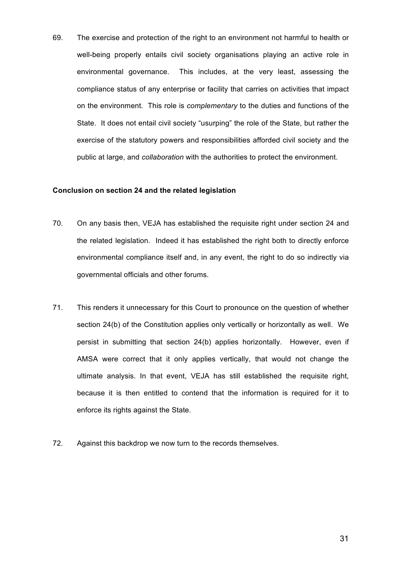69. The exercise and protection of the right to an environment not harmful to health or well-being properly entails civil society organisations playing an active role in environmental governance. This includes, at the very least, assessing the compliance status of any enterprise or facility that carries on activities that impact on the environment. This role is *complementary* to the duties and functions of the State. It does not entail civil society "usurping" the role of the State, but rather the exercise of the statutory powers and responsibilities afforded civil society and the public at large, and *collaboration* with the authorities to protect the environment.

#### **Conclusion on section 24 and the related legislation**

- 70. On any basis then, VEJA has established the requisite right under section 24 and the related legislation. Indeed it has established the right both to directly enforce environmental compliance itself and, in any event, the right to do so indirectly via governmental officials and other forums.
- 71. This renders it unnecessary for this Court to pronounce on the question of whether section 24(b) of the Constitution applies only vertically or horizontally as well. We persist in submitting that section 24(b) applies horizontally. However, even if AMSA were correct that it only applies vertically, that would not change the ultimate analysis. In that event, VEJA has still established the requisite right, because it is then entitled to contend that the information is required for it to enforce its rights against the State.
- 72. Against this backdrop we now turn to the records themselves.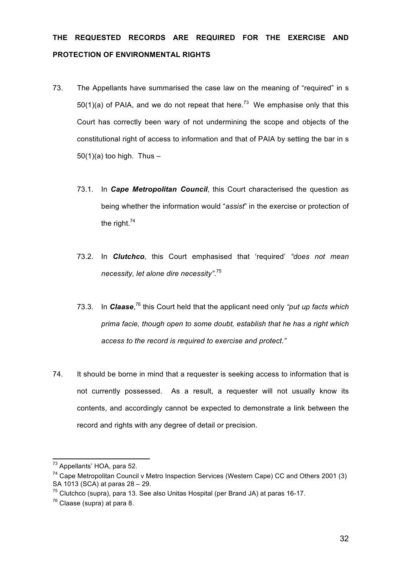# **THE REQUESTED RECORDS ARE REQUIRED FOR THE EXERCISE AND PROTECTION OF ENVIRONMENTAL RIGHTS**

- 73. The Appellants have summarised the case law on the meaning of "required" in s 50(1)(a) of PAIA, and we do not repeat that here.<sup>73</sup> We emphasise only that this Court has correctly been wary of not undermining the scope and objects of the constitutional right of access to information and that of PAIA by setting the bar in s  $50(1)(a)$  too high. Thus -
	- 73.1. In *Cape Metropolitan Council*, this Court characterised the question as being whether the information would "*assist*" in the exercise or protection of the right.<sup>74</sup>
	- 73.2. In *Clutchco*, this Court emphasised that 'required' *"does not mean necessity, let alone dire necessity"*. 75
	- 73.3. In *Claase*, <sup>76</sup> this Court held that the applicant need only *"put up facts which prima facie, though open to some doubt, establish that he has a right which access to the record is required to exercise and protect."*
- 74. It should be borne in mind that a requester is seeking access to information that is not currently possessed. As a result, a requester will not usually know its contents, and accordingly cannot be expected to demonstrate a link between the record and rights with any degree of detail or precision.

<sup>&</sup>lt;sup>73</sup> Appellants' HOA, para 52.

 $74$  Cape Metropolitan Council v Metro Inspection Services (Western Cape) CC and Others 2001 (3) SA 1013 (SCA) at paras 28 – 29.

 $75$  Clutchco (supra), para 13. See also Unitas Hospital (per Brand JA) at paras 16-17.

 $76$  Claase (supra) at para 8.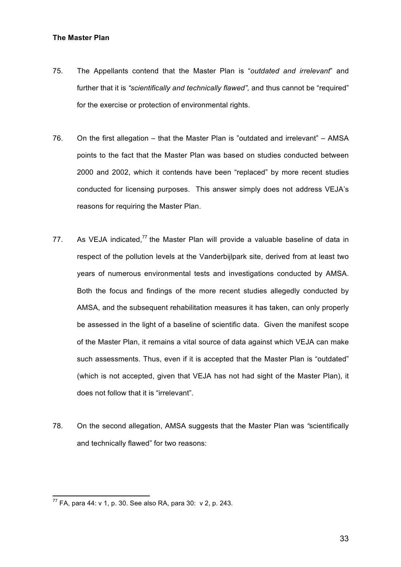#### **The Master Plan**

- 75. The Appellants contend that the Master Plan is "*outdated and irrelevant*" and further that it is *"scientifically and technically flawed",* and thus cannot be "required" for the exercise or protection of environmental rights.
- 76. On the first allegation that the Master Plan is "outdated and irrelevant" AMSA points to the fact that the Master Plan was based on studies conducted between 2000 and 2002, which it contends have been "replaced" by more recent studies conducted for licensing purposes. This answer simply does not address VEJA's reasons for requiring the Master Plan.
- 77. As VEJA indicated, $77$  the Master Plan will provide a valuable baseline of data in respect of the pollution levels at the Vanderbijlpark site, derived from at least two years of numerous environmental tests and investigations conducted by AMSA. Both the focus and findings of the more recent studies allegedly conducted by AMSA, and the subsequent rehabilitation measures it has taken, can only properly be assessed in the light of a baseline of scientific data. Given the manifest scope of the Master Plan, it remains a vital source of data against which VEJA can make such assessments. Thus, even if it is accepted that the Master Plan is "outdated" (which is not accepted, given that VEJA has not had sight of the Master Plan), it does not follow that it is "irrelevant".
- 78. On the second allegation, AMSA suggests that the Master Plan was *"*scientifically and technically flawed" for two reasons:

 $^{77}$  FA, para 44: v 1, p. 30. See also RA, para 30: v 2, p. 243.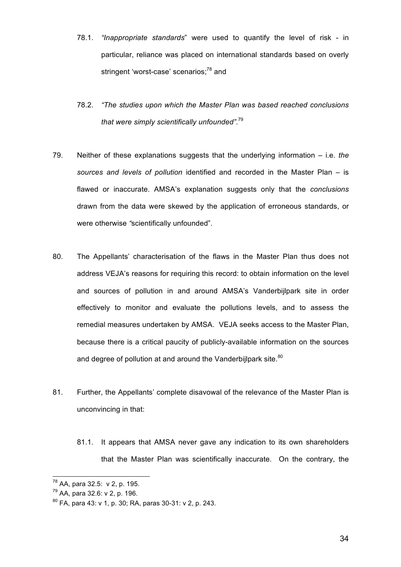- 78.1. *"Inappropriate standards*" were used to quantify the level of risk in particular, reliance was placed on international standards based on overly stringent 'worst-case' scenarios:<sup>78</sup> and
- 78.2. *"The studies upon which the Master Plan was based reached conclusions that were simply scientifically unfounded"*. 79
- 79. Neither of these explanations suggests that the underlying information i.e. *the sources and levels of pollution* identified and recorded in the Master Plan – is flawed or inaccurate. AMSA's explanation suggests only that the *conclusions* drawn from the data were skewed by the application of erroneous standards, or were otherwise *"*scientifically unfounded".
- 80. The Appellants' characterisation of the flaws in the Master Plan thus does not address VEJA's reasons for requiring this record: to obtain information on the level and sources of pollution in and around AMSA's Vanderbijlpark site in order effectively to monitor and evaluate the pollutions levels, and to assess the remedial measures undertaken by AMSA. VEJA seeks access to the Master Plan, because there is a critical paucity of publicly-available information on the sources and degree of pollution at and around the Vanderbijlpark site.<sup>80</sup>
- 81. Further, the Appellants' complete disavowal of the relevance of the Master Plan is unconvincing in that:
	- 81.1. It appears that AMSA never gave any indication to its own shareholders that the Master Plan was scientifically inaccurate. On the contrary, the

<sup>&</sup>lt;sup>78</sup> AA, para 32.5: v 2, p. 195.

<sup>79</sup> AA, para 32.6: v 2, p. 196.

<sup>80</sup> FA, para 43: v 1, p. 30; RA, paras 30-31: v 2, p. 243.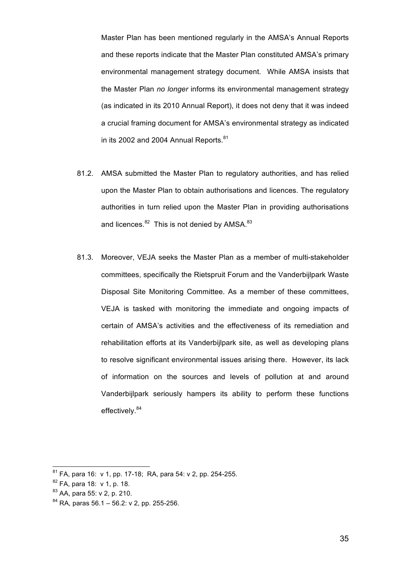Master Plan has been mentioned regularly in the AMSA's Annual Reports and these reports indicate that the Master Plan constituted AMSA's primary environmental management strategy document. While AMSA insists that the Master Plan *no longer* informs its environmental management strategy (as indicated in its 2010 Annual Report), it does not deny that it was indeed a crucial framing document for AMSA's environmental strategy as indicated in its 2002 and 2004 Annual Reports.<sup>81</sup>

- 81.2. AMSA submitted the Master Plan to regulatory authorities, and has relied upon the Master Plan to obtain authorisations and licences. The regulatory authorities in turn relied upon the Master Plan in providing authorisations and licences. $82$  This is not denied by AMSA. $83$
- 81.3. Moreover, VEJA seeks the Master Plan as a member of multi-stakeholder committees, specifically the Rietspruit Forum and the Vanderbijlpark Waste Disposal Site Monitoring Committee. As a member of these committees, VEJA is tasked with monitoring the immediate and ongoing impacts of certain of AMSA's activities and the effectiveness of its remediation and rehabilitation efforts at its Vanderbijlpark site, as well as developing plans to resolve significant environmental issues arising there. However, its lack of information on the sources and levels of pollution at and around Vanderbijlpark seriously hampers its ability to perform these functions effectively.<sup>84</sup>

 $81$  FA, para 16: v 1, pp. 17-18; RA, para 54: v 2, pp. 254-255.

<sup>82</sup> FA, para 18: v 1, p. 18.

<sup>83</sup> AA, para 55: v 2, p. 210.

 $84$  RA, paras 56.1 – 56.2: v 2, pp. 255-256.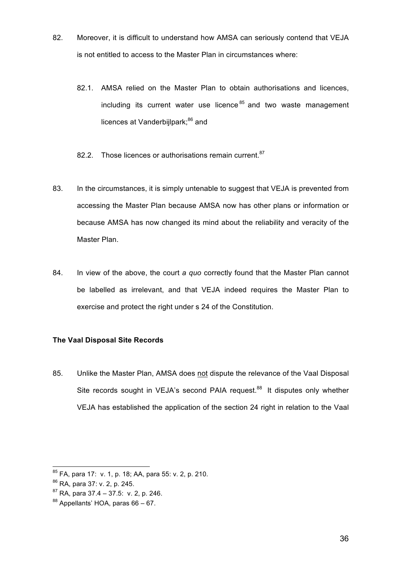- 82. Moreover, it is difficult to understand how AMSA can seriously contend that VEJA is not entitled to access to the Master Plan in circumstances where:
	- 82.1. AMSA relied on the Master Plan to obtain authorisations and licences, including its current water use licence  $85$  and two waste management licences at Vanderbijlpark;<sup>86</sup> and
	- 82.2. Those licences or authorisations remain current.<sup>87</sup>
- 83. In the circumstances, it is simply untenable to suggest that VEJA is prevented from accessing the Master Plan because AMSA now has other plans or information or because AMSA has now changed its mind about the reliability and veracity of the Master Plan.
- 84. In view of the above, the court *a quo* correctly found that the Master Plan cannot be labelled as irrelevant, and that VEJA indeed requires the Master Plan to exercise and protect the right under s 24 of the Constitution.

## **The Vaal Disposal Site Records**

85. Unlike the Master Plan, AMSA does not dispute the relevance of the Vaal Disposal Site records sought in VEJA's second PAIA request.<sup>88</sup> It disputes only whether VEJA has established the application of the section 24 right in relation to the Vaal

 $\overline{a}$ <sup>85</sup> FA, para 17: v. 1, p. 18; AA, para 55: v. 2, p. 210.

<sup>86</sup> RA, para 37: v. 2, p. 245.

 $87$  RA, para 37.4 – 37.5: v. 2, p. 246.

<sup>88</sup> Appellants' HOA, paras 66 – 67.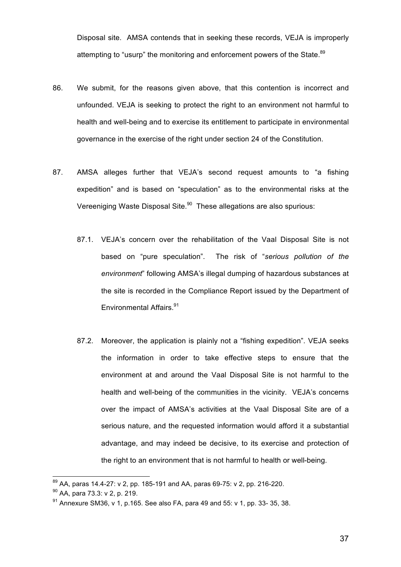Disposal site. AMSA contends that in seeking these records, VEJA is improperly attempting to "usurp" the monitoring and enforcement powers of the State.<sup>89</sup>

- 86. We submit, for the reasons given above, that this contention is incorrect and unfounded. VEJA is seeking to protect the right to an environment not harmful to health and well-being and to exercise its entitlement to participate in environmental governance in the exercise of the right under section 24 of the Constitution.
- 87. AMSA alleges further that VEJA's second request amounts to "a fishing expedition" and is based on "speculation" as to the environmental risks at the Vereeniging Waste Disposal Site.<sup>90</sup> These allegations are also spurious:
	- 87.1. VEJA's concern over the rehabilitation of the Vaal Disposal Site is not based on "pure speculation". The risk of "*serious pollution of the environment*" following AMSA's illegal dumping of hazardous substances at the site is recorded in the Compliance Report issued by the Department of Environmental Affairs. 91
	- 87.2. Moreover, the application is plainly not a "fishing expedition". VEJA seeks the information in order to take effective steps to ensure that the environment at and around the Vaal Disposal Site is not harmful to the health and well-being of the communities in the vicinity. VEJA's concerns over the impact of AMSA's activities at the Vaal Disposal Site are of a serious nature, and the requested information would afford it a substantial advantage, and may indeed be decisive, to its exercise and protection of the right to an environment that is not harmful to health or well-being.

 $^{89}$  AA, paras 14.4-27: v 2, pp. 185-191 and AA, paras 69-75: v 2, pp. 216-220.

 $^{90}$  AA, para 73.3: v 2, p. 219.<br><sup>91</sup> Annexure SM36, v 1, p.165. See also FA, para 49 and 55: v 1, pp. 33- 35, 38.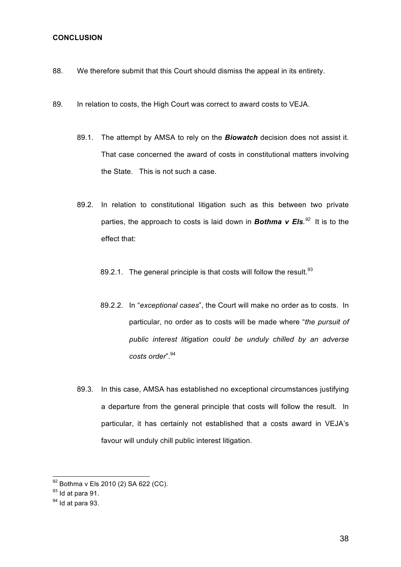#### **CONCLUSION**

- 88. We therefore submit that this Court should dismiss the appeal in its entirety.
- 89. In relation to costs, the High Court was correct to award costs to VEJA.
	- 89.1. The attempt by AMSA to rely on the *Biowatch* decision does not assist it. That case concerned the award of costs in constitutional matters involving the State. This is not such a case.
	- 89.2. In relation to constitutional litigation such as this between two private parties, the approach to costs is laid down in *Bothma v Els. 92* It is to the effect that:
		- 89.2.1. The general principle is that costs will follow the result. $93$
		- 89.2.2. In "*exceptional cases*", the Court will make no order as to costs. In particular, no order as to costs will be made where "*the pursuit of public interest litigation could be unduly chilled by an adverse costs order*".<sup>94</sup>
	- 89.3. In this case, AMSA has established no exceptional circumstances justifying a departure from the general principle that costs will follow the result. In particular, it has certainly not established that a costs award in VEJA's favour will unduly chill public interest litigation.

 $^{92}$  Bothma v Els 2010 (2) SA 622 (CC).

 $93$  Id at para 91.

 $94$  Id at para 93.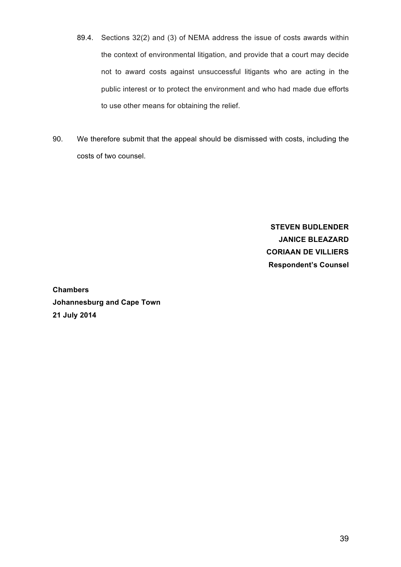- 89.4. Sections 32(2) and (3) of NEMA address the issue of costs awards within the context of environmental litigation, and provide that a court may decide not to award costs against unsuccessful litigants who are acting in the public interest or to protect the environment and who had made due efforts to use other means for obtaining the relief.
- 90. We therefore submit that the appeal should be dismissed with costs, including the costs of two counsel.

**STEVEN BUDLENDER JANICE BLEAZARD CORIAAN DE VILLIERS Respondent's Counsel**

**Chambers Johannesburg and Cape Town 21 July 2014**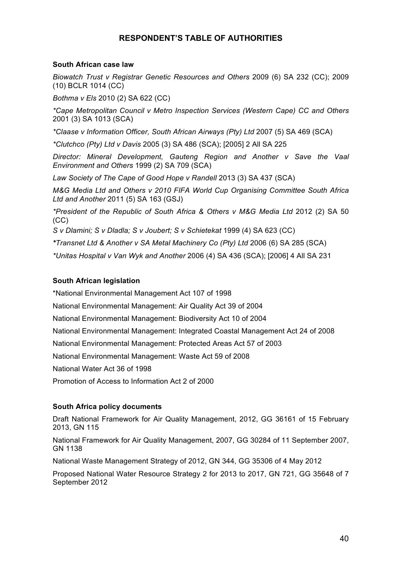# **RESPONDENT'S TABLE OF AUTHORITIES**

#### **South African case law**

*Biowatch Trust v Registrar Genetic Resources and Others* 2009 (6) SA 232 (CC); 2009 (10) BCLR 1014 (CC)

*Bothma v Els* 2010 (2) SA 622 (CC)

*\*Cape Metropolitan Council v Metro Inspection Services (Western Cape) CC and Others*  2001 (3) SA 1013 (SCA)

*\*Claase v Information Officer, South African Airways (Pty) Ltd* 2007 (5) SA 469 (SCA)

*\*Clutchco (Pty) Ltd v Davis* 2005 (3) SA 486 (SCA); [2005] 2 All SA 225

*Director: Mineral Development, Gauteng Region and Another v Save the Vaal Environment and Others* 1999 (2) SA 709 (SCA)

*Law Society of The Cape of Good Hope v Randell* 2013 (3) SA 437 (SCA)

*M&G Media Ltd and Others v 2010 FIFA World Cup Organising Committee South Africa Ltd and Another* 2011 (5) SA 163 (GSJ)

*\*President of the Republic of South Africa & Others v M&G Media Ltd* 2012 (2) SA 50 (CC)

*S v Dlamini; S v Dladla; S v Joubert; S v Schietekat* 1999 (4) SA 623 (CC)

*\*Transnet Ltd & Another v SA Metal Machinery Co (Pty) Ltd* 2006 (6) SA 285 (SCA)

*\*Unitas Hospital v Van Wyk and Another* 2006 (4) SA 436 (SCA); [2006] 4 All SA 231

#### **South African legislation**

\*National Environmental Management Act 107 of 1998

National Environmental Management: Air Quality Act 39 of 2004

National Environmental Management: Biodiversity Act 10 of 2004

National Environmental Management: Integrated Coastal Management Act 24 of 2008

National Environmental Management: Protected Areas Act 57 of 2003

National Environmental Management: Waste Act 59 of 2008

National Water Act 36 of 1998

Promotion of Access to Information Act 2 of 2000

## **South Africa policy documents**

Draft National Framework for Air Quality Management, 2012, GG 36161 of 15 February 2013, GN 115

National Framework for Air Quality Management, 2007, GG 30284 of 11 September 2007, GN 1138

National Waste Management Strategy of 2012, GN 344, GG 35306 of 4 May 2012

Proposed National Water Resource Strategy 2 for 2013 to 2017, GN 721, GG 35648 of 7 September 2012